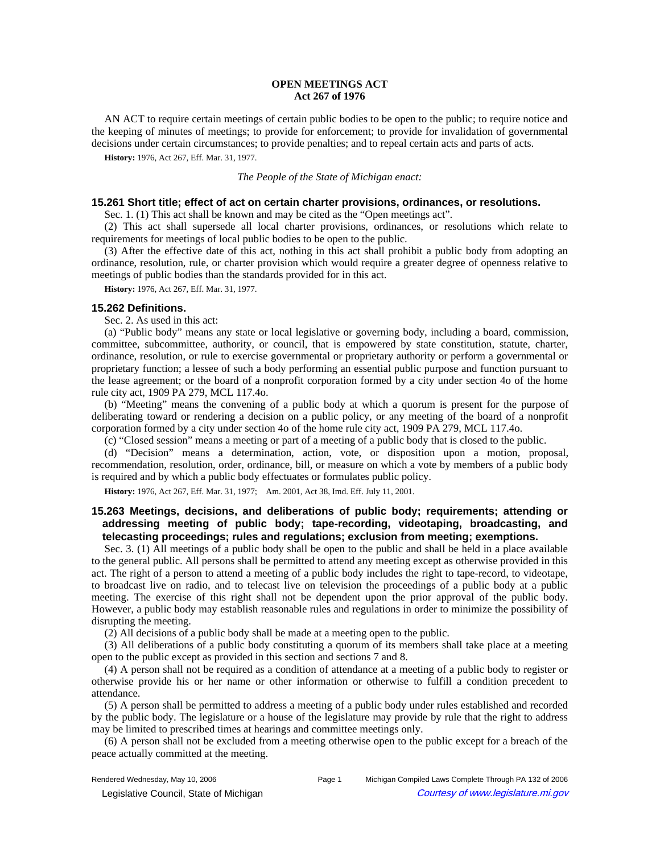# **OPEN MEETINGS ACT Act 267 of 1976**

AN ACT to require certain meetings of certain public bodies to be open to the public; to require notice and the keeping of minutes of meetings; to provide for enforcement; to provide for invalidation of governmental decisions under certain circumstances; to provide penalties; and to repeal certain acts and parts of acts.

**History:** 1976, Act 267, Eff. Mar. 31, 1977.

#### *The People of the State of Michigan enact:*

### **15.261 Short title; effect of act on certain charter provisions, ordinances, or resolutions.**

Sec. 1. (1) This act shall be known and may be cited as the "Open meetings act".

(2) This act shall supersede all local charter provisions, ordinances, or resolutions which relate to requirements for meetings of local public bodies to be open to the public.

(3) After the effective date of this act, nothing in this act shall prohibit a public body from adopting an ordinance, resolution, rule, or charter provision which would require a greater degree of openness relative to meetings of public bodies than the standards provided for in this act.

**History:** 1976, Act 267, Eff. Mar. 31, 1977.

## **15.262 Definitions.**

Sec. 2. As used in this act:

(a) "Public body" means any state or local legislative or governing body, including a board, commission, committee, subcommittee, authority, or council, that is empowered by state constitution, statute, charter, ordinance, resolution, or rule to exercise governmental or proprietary authority or perform a governmental or proprietary function; a lessee of such a body performing an essential public purpose and function pursuant to the lease agreement; or the board of a nonprofit corporation formed by a city under section 4o of the home rule city act, 1909 PA 279, MCL 117.4o.

(b) "Meeting" means the convening of a public body at which a quorum is present for the purpose of deliberating toward or rendering a decision on a public policy, or any meeting of the board of a nonprofit corporation formed by a city under section 4o of the home rule city act, 1909 PA 279, MCL 117.4o.

(c) "Closed session" means a meeting or part of a meeting of a public body that is closed to the public.

(d) "Decision" means a determination, action, vote, or disposition upon a motion, proposal, recommendation, resolution, order, ordinance, bill, or measure on which a vote by members of a public body is required and by which a public body effectuates or formulates public policy.

History: 1976, Act 267, Eff. Mar. 31, 1977;-- Am. 2001, Act 38, Imd. Eff. July 11, 2001.

# **15.263 Meetings, decisions, and deliberations of public body; requirements; attending or addressing meeting of public body; tape-recording, videotaping, broadcasting, and telecasting proceedings; rules and regulations; exclusion from meeting; exemptions.**

Sec. 3. (1) All meetings of a public body shall be open to the public and shall be held in a place available to the general public. All persons shall be permitted to attend any meeting except as otherwise provided in this act. The right of a person to attend a meeting of a public body includes the right to tape-record, to videotape, to broadcast live on radio, and to telecast live on television the proceedings of a public body at a public meeting. The exercise of this right shall not be dependent upon the prior approval of the public body. However, a public body may establish reasonable rules and regulations in order to minimize the possibility of disrupting the meeting.

(2) All decisions of a public body shall be made at a meeting open to the public.

(3) All deliberations of a public body constituting a quorum of its members shall take place at a meeting open to the public except as provided in this section and sections 7 and 8.

(4) A person shall not be required as a condition of attendance at a meeting of a public body to register or otherwise provide his or her name or other information or otherwise to fulfill a condition precedent to attendance.

(5) A person shall be permitted to address a meeting of a public body under rules established and recorded by the public body. The legislature or a house of the legislature may provide by rule that the right to address may be limited to prescribed times at hearings and committee meetings only.

(6) A person shall not be excluded from a meeting otherwise open to the public except for a breach of the peace actually committed at the meeting.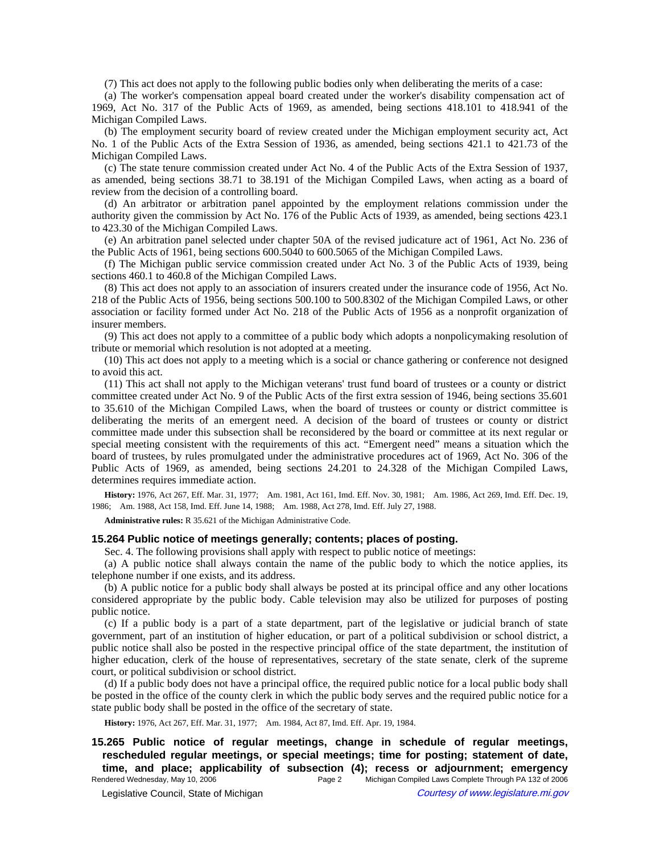(7) This act does not apply to the following public bodies only when deliberating the merits of a case:

(a) The worker's compensation appeal board created under the worker's disability compensation act of 1969, Act No. 317 of the Public Acts of 1969, as amended, being sections 418.101 to 418.941 of the Michigan Compiled Laws.

(b) The employment security board of review created under the Michigan employment security act, Act No. 1 of the Public Acts of the Extra Session of 1936, as amended, being sections 421.1 to 421.73 of the Michigan Compiled Laws.

(c) The state tenure commission created under Act No. 4 of the Public Acts of the Extra Session of 1937, as amended, being sections 38.71 to 38.191 of the Michigan Compiled Laws, when acting as a board of review from the decision of a controlling board.

(d) An arbitrator or arbitration panel appointed by the employment relations commission under the authority given the commission by Act No. 176 of the Public Acts of 1939, as amended, being sections 423.1 to 423.30 of the Michigan Compiled Laws.

(e) An arbitration panel selected under chapter 50A of the revised judicature act of 1961, Act No. 236 of the Public Acts of 1961, being sections 600.5040 to 600.5065 of the Michigan Compiled Laws.

(f) The Michigan public service commission created under Act No. 3 of the Public Acts of 1939, being sections 460.1 to 460.8 of the Michigan Compiled Laws.

(8) This act does not apply to an association of insurers created under the insurance code of 1956, Act No. 218 of the Public Acts of 1956, being sections 500.100 to 500.8302 of the Michigan Compiled Laws, or other association or facility formed under Act No. 218 of the Public Acts of 1956 as a nonprofit organization of insurer members.

(9) This act does not apply to a committee of a public body which adopts a nonpolicymaking resolution of tribute or memorial which resolution is not adopted at a meeting.

(10) This act does not apply to a meeting which is a social or chance gathering or conference not designed to avoid this act.

(11) This act shall not apply to the Michigan veterans' trust fund board of trustees or a county or district committee created under Act No. 9 of the Public Acts of the first extra session of 1946, being sections 35.601 to 35.610 of the Michigan Compiled Laws, when the board of trustees or county or district committee is deliberating the merits of an emergent need. A decision of the board of trustees or county or district committee made under this subsection shall be reconsidered by the board or committee at its next regular or special meeting consistent with the requirements of this act. "Emergent need" means a situation which the board of trustees, by rules promulgated under the administrative procedures act of 1969, Act No. 306 of the Public Acts of 1969, as amended, being sections 24.201 to 24.328 of the Michigan Compiled Laws, determines requires immediate action.

History: 1976, Act 267, Eff. Mar. 31, 1977;—Am. 1981, Act 161, Imd. Eff. Nov. 30, 1981;—Am. 1986, Act 269, Imd. Eff. Dec. 19, 1986; Am. 1988, Act 158, Imd. Eff. June 14, 1988; Am. 1988, Act 278, Imd. Eff. July 27, 1988.

**Administrative rules:** R 35.621 of the Michigan Administrative Code.

#### **15.264 Public notice of meetings generally; contents; places of posting.**

Sec. 4. The following provisions shall apply with respect to public notice of meetings:

(a) A public notice shall always contain the name of the public body to which the notice applies, its telephone number if one exists, and its address.

(b) A public notice for a public body shall always be posted at its principal office and any other locations considered appropriate by the public body. Cable television may also be utilized for purposes of posting public notice.

(c) If a public body is a part of a state department, part of the legislative or judicial branch of state government, part of an institution of higher education, or part of a political subdivision or school district, a public notice shall also be posted in the respective principal office of the state department, the institution of higher education, clerk of the house of representatives, secretary of the state senate, clerk of the supreme court, or political subdivision or school district.

(d) If a public body does not have a principal office, the required public notice for a local public body shall be posted in the office of the county clerk in which the public body serves and the required public notice for a state public body shall be posted in the office of the secretary of state.

History: 1976, Act 267, Eff. Mar. 31, 1977;-- Am. 1984, Act 87, Imd. Eff. Apr. 19, 1984.

**15.265 Public notice of regular meetings, change in schedule of regular meetings, rescheduled regular meetings, or special meetings; time for posting; statement of date, time, and place; applicability of subsection (4); recess or adjournment; emergency**<br>Rendered Wednesday, May 10, 2006<br>Page 2 Michigan Compiled Laws Complete Through PA 132 of 2006

Page 2 Michigan Compiled Laws Complete Through PA 132 of 2006 © Legislative Council, State of Michigan Council Courtesy of www.legislature.mi.gov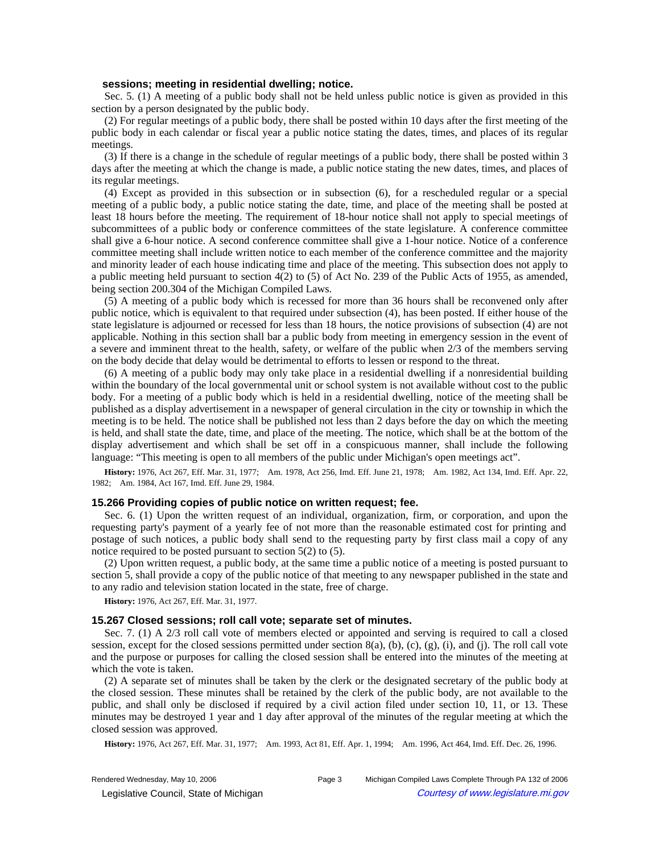#### **sessions; meeting in residential dwelling; notice.**

Sec. 5. (1) A meeting of a public body shall not be held unless public notice is given as provided in this section by a person designated by the public body.

(2) For regular meetings of a public body, there shall be posted within 10 days after the first meeting of the public body in each calendar or fiscal year a public notice stating the dates, times, and places of its regular meetings.

(3) If there is a change in the schedule of regular meetings of a public body, there shall be posted within 3 days after the meeting at which the change is made, a public notice stating the new dates, times, and places of its regular meetings.

(4) Except as provided in this subsection or in subsection (6), for a rescheduled regular or a special meeting of a public body, a public notice stating the date, time, and place of the meeting shall be posted at least 18 hours before the meeting. The requirement of 18-hour notice shall not apply to special meetings of subcommittees of a public body or conference committees of the state legislature. A conference committee shall give a 6-hour notice. A second conference committee shall give a 1-hour notice. Notice of a conference committee meeting shall include written notice to each member of the conference committee and the majority and minority leader of each house indicating time and place of the meeting. This subsection does not apply to a public meeting held pursuant to section 4(2) to (5) of Act No. 239 of the Public Acts of 1955, as amended, being section 200.304 of the Michigan Compiled Laws.

(5) A meeting of a public body which is recessed for more than 36 hours shall be reconvened only after public notice, which is equivalent to that required under subsection (4), has been posted. If either house of the state legislature is adjourned or recessed for less than 18 hours, the notice provisions of subsection (4) are not applicable. Nothing in this section shall bar a public body from meeting in emergency session in the event of a severe and imminent threat to the health, safety, or welfare of the public when 2/3 of the members serving on the body decide that delay would be detrimental to efforts to lessen or respond to the threat.

(6) A meeting of a public body may only take place in a residential dwelling if a nonresidential building within the boundary of the local governmental unit or school system is not available without cost to the public body. For a meeting of a public body which is held in a residential dwelling, notice of the meeting shall be published as a display advertisement in a newspaper of general circulation in the city or township in which the meeting is to be held. The notice shall be published not less than 2 days before the day on which the meeting is held, and shall state the date, time, and place of the meeting. The notice, which shall be at the bottom of the display advertisement and which shall be set off in a conspicuous manner, shall include the following language: "This meeting is open to all members of the public under Michigan's open meetings act".

History: 1976, Act 267, Eff. Mar. 31, 1977;—Am. 1978, Act 256, Imd. Eff. June 21, 1978;—Am. 1982, Act 134, Imd. Eff. Apr. 22, 1982; - Am. 1984, Act 167, Imd. Eff. June 29, 1984.

#### **15.266 Providing copies of public notice on written request; fee.**

Sec. 6. (1) Upon the written request of an individual, organization, firm, or corporation, and upon the requesting party's payment of a yearly fee of not more than the reasonable estimated cost for printing and postage of such notices, a public body shall send to the requesting party by first class mail a copy of any notice required to be posted pursuant to section 5(2) to (5).

(2) Upon written request, a public body, at the same time a public notice of a meeting is posted pursuant to section 5, shall provide a copy of the public notice of that meeting to any newspaper published in the state and to any radio and television station located in the state, free of charge.

**History:** 1976, Act 267, Eff. Mar. 31, 1977.

### **15.267 Closed sessions; roll call vote; separate set of minutes.**

Sec. 7. (1) A 2/3 roll call vote of members elected or appointed and serving is required to call a closed session, except for the closed sessions permitted under section  $8(a)$ ,  $(b)$ ,  $(c)$ ,  $(g)$ ,  $(i)$ , and  $(i)$ . The roll call vote and the purpose or purposes for calling the closed session shall be entered into the minutes of the meeting at which the vote is taken.

(2) A separate set of minutes shall be taken by the clerk or the designated secretary of the public body at the closed session. These minutes shall be retained by the clerk of the public body, are not available to the public, and shall only be disclosed if required by a civil action filed under section 10, 11, or 13. These minutes may be destroyed 1 year and 1 day after approval of the minutes of the regular meeting at which the closed session was approved.

History: 1976, Act 267, Eff. Mar. 31, 1977;—Am. 1993, Act 81, Eff. Apr. 1, 1994;—Am. 1996, Act 464, Imd. Eff. Dec. 26, 1996.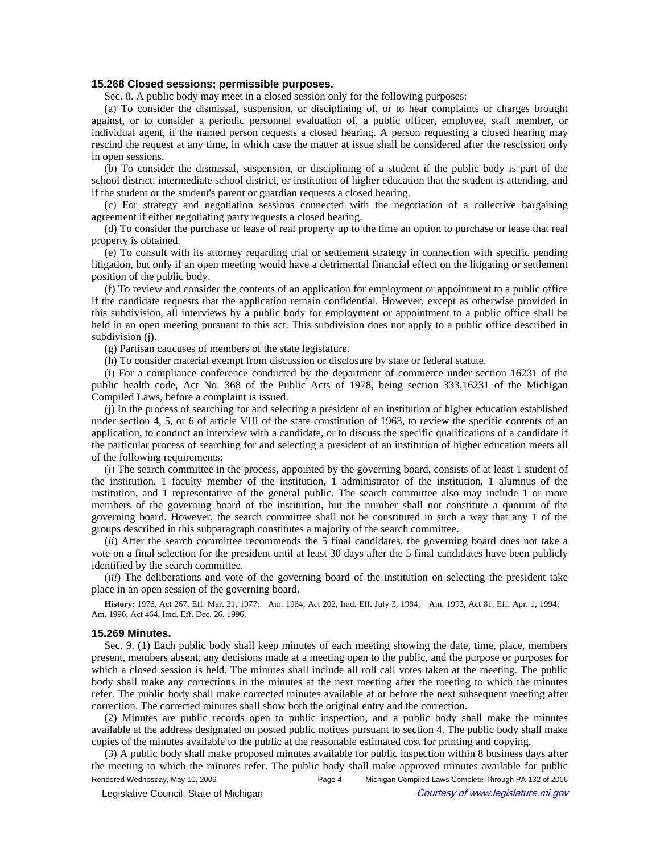### **15.268 Closed sessions; permissible purposes.**

Sec. 8. A public body may meet in a closed session only for the following purposes:

(a) To consider the dismissal, suspension, or disciplining of, or to hear complaints or charges brought against, or to consider a periodic personnel evaluation of, a public officer, employee, staff member, or individual agent, if the named person requests a closed hearing. A person requesting a closed hearing may rescind the request at any time, in which case the matter at issue shall be considered after the rescission only in open sessions.

(b) To consider the dismissal, suspension, or disciplining of a student if the public body is part of the school district, intermediate school district, or institution of higher education that the student is attending, and if the student or the student's parent or guardian requests a closed hearing.

(c) For strategy and negotiation sessions connected with the negotiation of a collective bargaining agreement if either negotiating party requests a closed hearing.

(d) To consider the purchase or lease of real property up to the time an option to purchase or lease that real property is obtained.

(e) To consult with its attorney regarding trial or settlement strategy in connection with specific pending litigation, but only if an open meeting would have a detrimental financial effect on the litigating or settlement position of the public body.

(f) To review and consider the contents of an application for employment or appointment to a public office if the candidate requests that the application remain confidential. However, except as otherwise provided in this subdivision, all interviews by a public body for employment or appointment to a public office shall be held in an open meeting pursuant to this act. This subdivision does not apply to a public office described in subdivision (j).

(g) Partisan caucuses of members of the state legislature.

(h) To consider material exempt from discussion or disclosure by state or federal statute.

(i) For a compliance conference conducted by the department of commerce under section 16231 of the public health code, Act No. 368 of the Public Acts of 1978, being section 333.16231 of the Michigan Compiled Laws, before a complaint is issued.

(j) In the process of searching for and selecting a president of an institution of higher education established under section 4, 5, or 6 of article VIII of the state constitution of 1963, to review the specific contents of an application, to conduct an interview with a candidate, or to discuss the specific qualifications of a candidate if the particular process of searching for and selecting a president of an institution of higher education meets all of the following requirements:

(*i*) The search committee in the process, appointed by the governing board, consists of at least 1 student of the institution, 1 faculty member of the institution, 1 administrator of the institution, 1 alumnus of the institution, and 1 representative of the general public. The search committee also may include 1 or more members of the governing board of the institution, but the number shall not constitute a quorum of the governing board. However, the search committee shall not be constituted in such a way that any 1 of the groups described in this subparagraph constitutes a majority of the search committee.

(*ii*) After the search committee recommends the 5 final candidates, the governing board does not take a vote on a final selection for the president until at least 30 days after the 5 final candidates have been publicly identified by the search committee.

(*iii*) The deliberations and vote of the governing board of the institution on selecting the president take place in an open session of the governing board.

History: 1976, Act 267, Eff. Mar. 31, 1977;--Am. 1984, Act 202, Imd. Eff. July 3, 1984;--Am. 1993, Act 81, Eff. Apr. 1, 1994;--Am. 1996, Act 464, Imd. Eff. Dec. 26, 1996.

#### **15.269 Minutes.**

Sec. 9. (1) Each public body shall keep minutes of each meeting showing the date, time, place, members present, members absent, any decisions made at a meeting open to the public, and the purpose or purposes for which a closed session is held. The minutes shall include all roll call votes taken at the meeting. The public body shall make any corrections in the minutes at the next meeting after the meeting to which the minutes refer. The public body shall make corrected minutes available at or before the next subsequent meeting after correction. The corrected minutes shall show both the original entry and the correction.

(2) Minutes are public records open to public inspection, and a public body shall make the minutes available at the address designated on posted public notices pursuant to section 4. The public body shall make copies of the minutes available to the public at the reasonable estimated cost for printing and copying.

(3) A public body shall make proposed minutes available for public inspection within 8 business days after the meeting to which the minutes refer. The public body shall make approved minutes available for public Rendered Wednesday, May 10, 2006 Page 4 Michigan Compiled Laws Complete Through PA 132 of 2006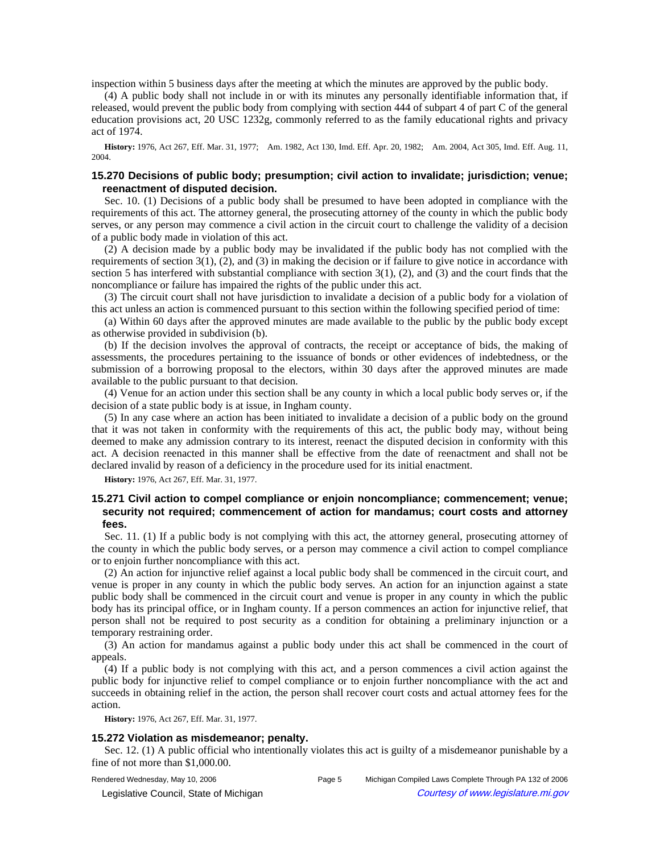inspection within 5 business days after the meeting at which the minutes are approved by the public body.

(4) A public body shall not include in or with its minutes any personally identifiable information that, if released, would prevent the public body from complying with section 444 of subpart 4 of part C of the general education provisions act, 20 USC 1232g, commonly referred to as the family educational rights and privacy act of 1974.

History: 1976, Act 267, Eff. Mar. 31, 1977;--Am. 1982, Act 130, Imd. Eff. Apr. 20, 1982;--Am. 2004, Act 305, Imd. Eff. Aug. 11, 2004.

## **15.270 Decisions of public body; presumption; civil action to invalidate; jurisdiction; venue; reenactment of disputed decision.**

Sec. 10. (1) Decisions of a public body shall be presumed to have been adopted in compliance with the requirements of this act. The attorney general, the prosecuting attorney of the county in which the public body serves, or any person may commence a civil action in the circuit court to challenge the validity of a decision of a public body made in violation of this act.

(2) A decision made by a public body may be invalidated if the public body has not complied with the requirements of section 3(1), (2), and (3) in making the decision or if failure to give notice in accordance with section 5 has interfered with substantial compliance with section 3(1), (2), and (3) and the court finds that the noncompliance or failure has impaired the rights of the public under this act.

(3) The circuit court shall not have jurisdiction to invalidate a decision of a public body for a violation of this act unless an action is commenced pursuant to this section within the following specified period of time:

(a) Within 60 days after the approved minutes are made available to the public by the public body except as otherwise provided in subdivision (b).

(b) If the decision involves the approval of contracts, the receipt or acceptance of bids, the making of assessments, the procedures pertaining to the issuance of bonds or other evidences of indebtedness, or the submission of a borrowing proposal to the electors, within 30 days after the approved minutes are made available to the public pursuant to that decision.

(4) Venue for an action under this section shall be any county in which a local public body serves or, if the decision of a state public body is at issue, in Ingham county.

(5) In any case where an action has been initiated to invalidate a decision of a public body on the ground that it was not taken in conformity with the requirements of this act, the public body may, without being deemed to make any admission contrary to its interest, reenact the disputed decision in conformity with this act. A decision reenacted in this manner shall be effective from the date of reenactment and shall not be declared invalid by reason of a deficiency in the procedure used for its initial enactment.

**History:** 1976, Act 267, Eff. Mar. 31, 1977.

# **15.271 Civil action to compel compliance or enjoin noncompliance; commencement; venue; security not required; commencement of action for mandamus; court costs and attorney fees.**

Sec. 11. (1) If a public body is not complying with this act, the attorney general, prosecuting attorney of the county in which the public body serves, or a person may commence a civil action to compel compliance or to enjoin further noncompliance with this act.

(2) An action for injunctive relief against a local public body shall be commenced in the circuit court, and venue is proper in any county in which the public body serves. An action for an injunction against a state public body shall be commenced in the circuit court and venue is proper in any county in which the public body has its principal office, or in Ingham county. If a person commences an action for injunctive relief, that person shall not be required to post security as a condition for obtaining a preliminary injunction or a temporary restraining order.

(3) An action for mandamus against a public body under this act shall be commenced in the court of appeals.

(4) If a public body is not complying with this act, and a person commences a civil action against the public body for injunctive relief to compel compliance or to enjoin further noncompliance with the act and succeeds in obtaining relief in the action, the person shall recover court costs and actual attorney fees for the action.

**History:** 1976, Act 267, Eff. Mar. 31, 1977.

#### **15.272 Violation as misdemeanor; penalty.**

Sec. 12. (1) A public official who intentionally violates this act is guilty of a misdemeanor punishable by a fine of not more than \$1,000.00.